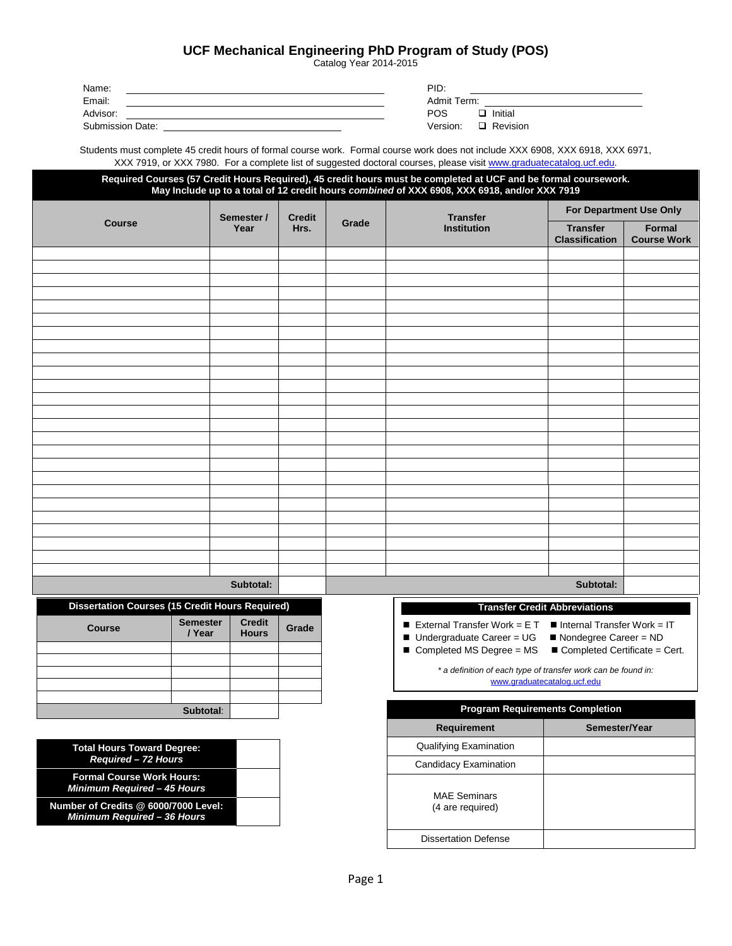|  | Clear POS   UCF Mechanical Engineering PhD Program of Study (POS)<br>Catalog Year 2014-2015 | Save POS         |
|--|---------------------------------------------------------------------------------------------|------------------|
|  |                                                                                             | <b>Print POS</b> |

Name: PID: Email: Admit Term: Advisor: POS **コ** Initial

Submission Date:

| PID:        |                 |  |
|-------------|-----------------|--|
| Admit Term: |                 |  |
| POS.        | $\Box$ Initial  |  |
| Version:    | $\Box$ Revision |  |

Students must complete 45 credit hours of formal course work. Formal course work does not include XXX 6908, XXX 6918, XXX 6971, XXX 7919, or XXX 7980. For a complete list of suggested doctoral course[s, please visit www.graduatecatalog.ucf.edu.](http://www.graduatecatalog.ucf.edu/)

| Required Courses (57 Credit Hours Required), 45 credit hours must be completed at UCF and be formal coursework.<br>May Include up to a total of 12 credit hours combined of XXX 6908, XXX 6918, and/or XXX 7919 |                 |                    |                       |                     |                                                               |                                                                       |                                     |
|-----------------------------------------------------------------------------------------------------------------------------------------------------------------------------------------------------------------|-----------------|--------------------|-----------------------|---------------------|---------------------------------------------------------------|-----------------------------------------------------------------------|-------------------------------------|
| <b>Course</b>                                                                                                                                                                                                   |                 |                    | <b>Credit</b><br>Hrs. | Grade               | <b>Transfer</b><br><b>Institution</b>                         | For Department Use Only                                               |                                     |
|                                                                                                                                                                                                                 |                 | Semester /<br>Year |                       |                     |                                                               | <b>Transfer</b><br><b>Classification</b>                              | <b>Formal</b><br><b>Course Work</b> |
|                                                                                                                                                                                                                 |                 |                    |                       |                     |                                                               |                                                                       |                                     |
|                                                                                                                                                                                                                 |                 |                    |                       |                     |                                                               |                                                                       |                                     |
|                                                                                                                                                                                                                 |                 |                    |                       |                     |                                                               |                                                                       |                                     |
|                                                                                                                                                                                                                 |                 |                    |                       |                     |                                                               |                                                                       |                                     |
|                                                                                                                                                                                                                 |                 |                    |                       |                     |                                                               |                                                                       |                                     |
|                                                                                                                                                                                                                 |                 |                    |                       |                     |                                                               |                                                                       |                                     |
|                                                                                                                                                                                                                 |                 |                    |                       |                     |                                                               |                                                                       |                                     |
|                                                                                                                                                                                                                 |                 |                    |                       |                     |                                                               |                                                                       |                                     |
|                                                                                                                                                                                                                 |                 |                    |                       |                     |                                                               |                                                                       |                                     |
|                                                                                                                                                                                                                 |                 |                    |                       |                     |                                                               |                                                                       |                                     |
|                                                                                                                                                                                                                 |                 |                    |                       |                     |                                                               |                                                                       |                                     |
|                                                                                                                                                                                                                 |                 |                    |                       |                     |                                                               |                                                                       |                                     |
|                                                                                                                                                                                                                 |                 |                    |                       |                     |                                                               |                                                                       |                                     |
|                                                                                                                                                                                                                 |                 |                    |                       |                     |                                                               |                                                                       |                                     |
|                                                                                                                                                                                                                 |                 |                    |                       |                     |                                                               |                                                                       |                                     |
|                                                                                                                                                                                                                 |                 |                    |                       |                     |                                                               |                                                                       |                                     |
|                                                                                                                                                                                                                 |                 |                    |                       |                     |                                                               |                                                                       |                                     |
|                                                                                                                                                                                                                 |                 |                    |                       |                     |                                                               |                                                                       |                                     |
|                                                                                                                                                                                                                 |                 |                    |                       |                     |                                                               |                                                                       |                                     |
|                                                                                                                                                                                                                 |                 |                    |                       |                     |                                                               |                                                                       |                                     |
|                                                                                                                                                                                                                 |                 |                    |                       |                     |                                                               |                                                                       |                                     |
|                                                                                                                                                                                                                 |                 |                    |                       |                     |                                                               |                                                                       |                                     |
|                                                                                                                                                                                                                 |                 | Subtotal:          |                       |                     |                                                               | Subtotal:                                                             |                                     |
| <b>Dissertation Courses (15 Credit Hours Required)</b>                                                                                                                                                          | <b>Semester</b> | <b>Credit</b>      |                       |                     | External Transfer Work = $E T$                                | <b>Transfer Credit Abbreviations</b><br>Internal Transfer Work = $IT$ |                                     |
| <b>Course</b>                                                                                                                                                                                                   | / Year          | <b>Hours</b>       | Grade                 |                     | ■ Undergraduate Career = UG                                   | Nondegree Career = ND                                                 |                                     |
|                                                                                                                                                                                                                 |                 |                    |                       |                     | Completed MS Degree = MS                                      | Completed Certificate = Cert.                                         |                                     |
|                                                                                                                                                                                                                 |                 |                    |                       |                     | * a definition of each type of transfer work can be found in: |                                                                       |                                     |
|                                                                                                                                                                                                                 |                 |                    |                       |                     |                                                               | www.graduatecatalog.ucf.edu                                           |                                     |
|                                                                                                                                                                                                                 |                 |                    |                       |                     |                                                               |                                                                       |                                     |
| Subtotal:                                                                                                                                                                                                       |                 |                    |                       |                     | <b>Program Requirements Completion</b>                        |                                                                       |                                     |
|                                                                                                                                                                                                                 |                 |                    |                       |                     | Requirement                                                   | Semester/Year                                                         |                                     |
| <b>Total Hours Toward Degree:</b>                                                                                                                                                                               |                 |                    |                       |                     | Qualifying Examination                                        |                                                                       |                                     |
| Required - 72 Hours                                                                                                                                                                                             |                 |                    |                       |                     | <b>Candidacy Examination</b>                                  |                                                                       |                                     |
| <b>Formal Course Work Hours:</b><br>Minimum Required - 45 Hours                                                                                                                                                 |                 |                    |                       | <b>MAE Seminars</b> |                                                               |                                                                       |                                     |
| Number of Credits @ 6000/7000 Level:<br>Minimum Required - 36 Hours                                                                                                                                             |                 |                    |                       |                     | (4 are required)                                              |                                                                       |                                     |
|                                                                                                                                                                                                                 |                 |                    |                       |                     | <b>Dissertation Defense</b>                                   |                                                                       |                                     |